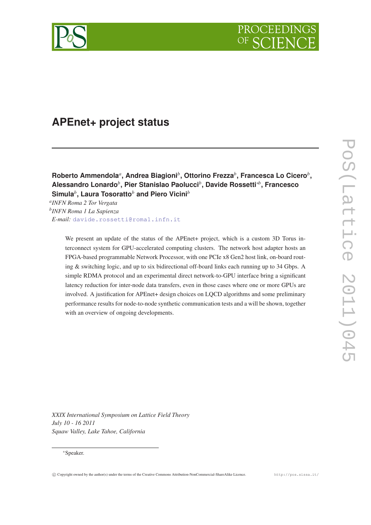

# **APEnet+ project status**

 $\mathsf{R}$ oberto Ammendola<sup>a</sup>, Andrea Biagioni $^b$ , Ottorino Frezza $^b$ , Francesca Lo Cicero $^b$ , **Alessandro Lonardo***<sup>b</sup>* **, Pier Stanislao Paolucci***<sup>b</sup>* **, Davide Rossetti**∗*<sup>b</sup>* **, Francesco Simula***<sup>b</sup>* **, Laura Tosoratto***<sup>b</sup>* **and Piero Vicini***<sup>b</sup>*

*a INFN Roma 2 Tor Vergata b INFN Roma 1 La Sapienza E-mail:* [davide.rossetti@roma1.infn.it](mailto:davide.rossetti@roma1.infn.it)

> We present an update of the status of the APEnet+ project, which is a custom 3D Torus interconnect system for GPU-accelerated computing clusters. The network host adapter hosts an FPGA-based programmable Network Processor, with one PCIe x8 Gen2 host link, on-board routing & switching logic, and up to six bidirectional off-board links each running up to 34 Gbps. A simple RDMA protocol and an experimental direct network-to-GPU interface bring a significant latency reduction for inter-node data transfers, even in those cases where one or more GPUs are involved. A justification for APEnet+ design choices on LQCD algorithms and some preliminary performance results for node-to-node synthetic communication tests and a will be shown, together with an overview of ongoing developments.

PoS (Lattice PoS(Lattice 2011)045 2011)04

*XXIX International Symposium on Lattice Field Theory July 10 - 16 2011 Squaw Valley, Lake Tahoe, California*

# <sup>∗</sup>Speaker.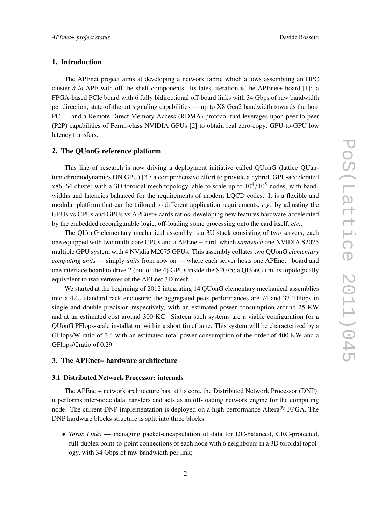# 1. Introduction

The APEnet project aims at developing a network fabric which allows assembling an HPC cluster *à la* APE with off-the-shelf components. Its latest iteration is the APEnet+ board [1]: a FPGA-based PCIe board with 6 fully bidirectional off-board links with 34 Gbps of raw bandwidth per direction, state-of-the-art signaling capabilities — up to X8 Gen2 bandwidth towards the host PC — and a Remote Direct Memory Access (RDMA) protocol that leverages upon peer-to-peer (P2P) capabilities of Fermi-class NVIDIA GPUs [2] to obtain real zero-copy, GPU-to-GPU low latency transfers.

### 2. The QUonG reference platform

This line of research is now driving a deployment initiative called QUonG (lattice QUantum chromodynamics ON GPU) [3]; a comprehensive effort to provide a hybrid, GPU-accelerated x86\_64 cluster with a 3D toroidal mesh topology, able to scale up to  $10^4/10^5$  nodes, with bandwidths and latencies balanced for the requirements of modern LQCD codes. It is a flexible and modular platform that can be tailored to different application requirements, *e.g.* by adjusting the GPUs vs CPUs and GPUs vs APEnet+ cards ratios, developing new features hardware-accelerated by the embedded reconfigurable logic, off-loading some processing onto the card itself, *etc.*.

The QUonG elementary mechanical assembly is a 3U stack consisting of two servers, each one equipped with two multi-core CPUs and a APEnet+ card, which *sandwich* one NVIDIA S2075 multiple GPU system with 4 NVidia M2075 GPUs. This assembly collates two QUonG *elementary computing units* — simply *units* from now on — where each server hosts one APEnet+ board and one interface board to drive 2 (out of the 4) GPUs inside the S2075; a QUonG unit is topologically equivalent to two vertexes of the APEnet 3D mesh.

We started at the beginning of 2012 integrating 14 QUonG elementary mechanical assemblies into a 42U standard rack enclosure; the aggregated peak performances are 74 and 37 TFlops in single and double precision respectively, with an estimated power consumption around 25 KW and at an estimated cost around 300  $K \in \mathbb{S}$ . Sixteen such systems are a viable configuration for a QUonG PFlops-scale installation within a short timeframe. This system will be characterized by a GFlops/W ratio of 3.4 with an estimated total power consumption of the order of 400 KW and a GFlops/ $\in$ ratio of 0.29.

# 3. The APEnet+ hardware architecture

#### 3.1 Distributed Network Processor: internals

The APEnet+ network architecture has, at its core, the Distributed Network Processor (DNP): it performs inter-node data transfers and acts as an off-loading network engine for the computing node. The current DNP implementation is deployed on a high performance Altera® FPGA. The DNP hardware blocks structure is split into three blocks:

• *Torus Links* — managing packet-encapsulation of data for DC-balanced, CRC-protected, full-duplex point-to-point connections of each node with 6 neighbours in a 3D toroidal topology, with 34 Gbps of raw bandwidth per link;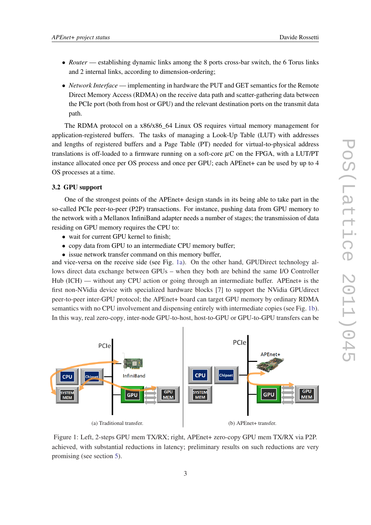- *Router* establishing dynamic links among the 8 ports cross-bar switch, the 6 Torus links and 2 internal links, according to dimension-ordering;
- *Network Interface* implementing in hardware the PUT and GET semantics for the Remote Direct Memory Access (RDMA) on the receive data path and scatter-gathering data between the PCIe port (both from host or GPU) and the relevant destination ports on the transmit data path.

The RDMA protocol on a x86/x86\_64 Linux OS requires virtual memory management for application-registered buffers. The tasks of managing a Look-Up Table (LUT) with addresses and lengths of registered buffers and a Page Table (PT) needed for virtual-to-physical address translations is off-loaded to a firmware running on a soft-core  $\mu$ C on the FPGA, with a LUT/PT instance allocated once per OS process and once per GPU; each APEnet+ can be used by up to 4 OS processes at a time.

# 3.2 GPU support

One of the strongest points of the APEnet+ design stands in its being able to take part in the so-called PCIe peer-to-peer (P2P) transactions. For instance, pushing data from GPU memory to the network with a Mellanox InfiniBand adapter needs a number of stages; the transmission of data residing on GPU memory requires the CPU to:

- wait for current GPU kernel to finish:
- copy data from GPU to an intermediate CPU memory buffer:
- issue network transfer command on this memory buffer,

and vice-versa on the receive side (see Fig. 1a). On the other hand, GPUDirect technology allows direct data exchange between GPUs – when they both are behind the same I/O Controller Hub (ICH) — without any CPU action or going through an intermediate buffer. APEnet+ is the first non-NVidia device with specialized hardware blocks [7] to support the NVidia GPUdirect peer-to-peer inter-GPU protocol; the APEnet+ board can target GPU memory by ordinary RDMA semantics with no CPU involvement and dispensing entirely with intermediate copies (see Fig. 1b). In this way, real zero-copy, inter-node GPU-to-host, host-to-GPU or GPU-to-GPU transfers can be



Figure 1: Left, 2-steps GPU mem TX/RX; right, APEnet+ zero-copy GPU mem TX/RX via P2P. achieved, with substantial reductions in latency; preliminary results on such reductions are very promising (see section [5\)](#page-4-0).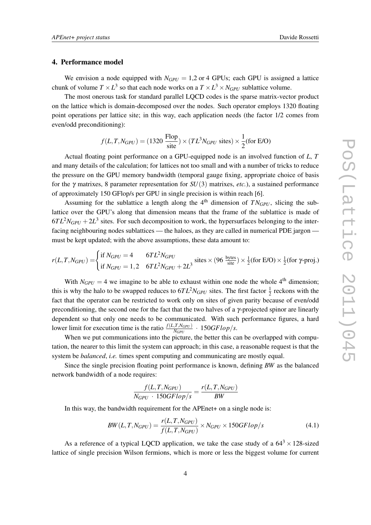#### <span id="page-3-0"></span>4. Performance model

We envision a node equipped with  $N_{GPU} = 1.2$  or 4 GPUs; each GPU is assigned a lattice chunk of volume  $T \times L^3$  so that each node works on a  $T \times L^3 \times N_{GPU}$  sublattice volume.

The most onerous task for standard parallel LQCD codes is the sparse matrix-vector product on the lattice which is domain-decomposed over the nodes. Such operator employs 1320 floating point operations per lattice site; in this way, each application needs (the factor 1/2 comes from even/odd preconditioning):

$$
f(L, T, N_{GPU}) = (1320 \frac{\text{Flop}}{\text{site}}) \times (TL^3 N_{GPU} \text{ sites}) \times \frac{1}{2} \text{(for E/O)}
$$

Actual floating point performance on a GPU-equipped node is an involved function of *L*, *T* and many details of the calculation; for lattices not too small and with a number of tricks to reduce the pressure on the GPU memory bandwidth (temporal gauge fixing, appropriate choice of basis for the γ matrixes, 8 parameter representation for *SU*(3) matrixes, *etc.*), a sustained performance of approximately 150 GFlop/s per GPU in single precision is within reach [6].

Assuming for the sublattice a length along the  $4<sup>th</sup>$  dimension of  $TN<sub>GPI</sub>$ , slicing the sublattice over the GPU's along that dimension means that the frame of the sublattice is made of  $6TL<sup>2</sup>N<sub>GPU</sub> + 2L<sup>3</sup>$  sites. For such decomposition to work, the hypersurfaces belonging to the interfacing neighbouring nodes sublattices — the haloes, as they are called in numerical PDE jargon must be kept updated; with the above assumptions, these data amount to:

$$
r(L, T, N_{GPU}) = \begin{cases} \text{if } N_{GPU} = 4 & 6TL^2N_{GPU} \\ \text{if } N_{GPU} = 1,2 & 6TL^2N_{GPU} + 2L^3 \end{cases} \text{ sites} \times (96 \frac{\text{bytes}}{\text{site}}) \times \frac{1}{2} (\text{for } E/O) \times \frac{1}{2} (\text{for } \gamma\text{-proj.})
$$

With  $N_{GPU} = 4$  we imagine to be able to exhaust within one node the whole 4<sup>th</sup> dimension: this is why the halo to be swapped reduces to  $6TL^2N_{GPU}$  sites. The first factor  $\frac{1}{2}$  reckons with the fact that the operator can be restricted to work only on sites of given parity because of even/odd preconditioning, the second one for the fact that the two halves of a  $\gamma$ -projected spinor are linearly dependent so that only one needs to be communicated. With such performance figures, a hard lower limit for execution time is the ratio  $\frac{f(L, T, N_{GPU})}{N_{GPU}} \cdot 150$ *GFlop/s*.

When we put communications into the picture, the better this can be overlapped with computation, the nearer to this limit the system can approach; in this case, a reasonable request is that the system be *balanced*, *i.e.* times spent computing and communicating are mostly equal.

Since the single precision floating point performance is known, defining *BW* as the balanced network bandwidth of a node requires:

$$
\frac{f(L, T, N_{GPU})}{N_{GPU} \cdot 150GFlop/s} = \frac{r(L, T, N_{GPU})}{BW}
$$

In this way, the bandwidth requirement for the APEnet+ on a single node is:

$$
BW(L, T, N_{GPU}) = \frac{r(L, T, N_{GPU})}{f(L, T, N_{GPU})} \times N_{GPU} \times 150GFlop/s
$$
\n(4.1)

As a reference of a typical LQCD application, we take the case study of a  $64^3 \times 128$ -sized lattice of single precision Wilson fermions, which is more or less the biggest volume for current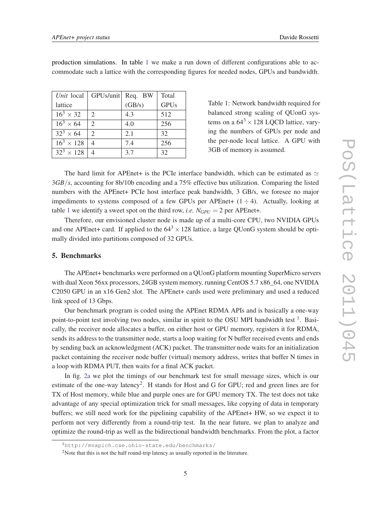| Unit local        | GPUs/unit                   | Req. BW | Total       |
|-------------------|-----------------------------|---------|-------------|
| lattice           |                             | (GB/s)  | <b>GPUs</b> |
| $16^3 \times 32$  | 2                           | 4.3     | 512         |
| $16^3 \times 64$  | $\mathcal{D}_{\mathcal{L}}$ | 4.0     | 256         |
| $32^3 \times 64$  | $\mathcal{D}_{\mathcal{L}}$ | 2.1     | 32          |
| $16^3 \times 128$ |                             | 7.4     | 256         |
| $32^3 \times 128$ |                             | 3.7     | 32          |

<span id="page-4-0"></span>production simulations. In table 1 we make a run down of different configurations able to accommodate such a lattice with the corresponding figures for needed nodes, GPUs and bandwidth.

> balanced strong scaling of QUonG systems on a  $64^3 \times 128$  LQCD lattice, varying the numbers of GPUs per node and the per-node local lattice. A GPU with 3GB of memory is assumed.

Table 1: Network bandwidth required for

The hard limit for APEnet+ is the PCIe interface bandwidth, which can be estimated as  $\simeq$ 3*GB*/*s*, accounting for 8b/10b encoding and a 75% effective bus utilization. Comparing the listed numbers with the APEnet+ PCIe host interface peak bandwidth, 3 GB/s, we foresee no major impediments to systems composed of a few GPUs per APEnet+  $(1 \div 4)$ . Actually, looking at table 1 we identify a sweet spot on the third row, *i.e.*  $N_{GPU} = 2$  per APEnet+.

Therefore, our envisioned cluster node is made up of a multi-core CPU, two NVIDIA GPUs and one APEnet+ card. If applied to the  $64<sup>3</sup> \times 128$  lattice, a large OUonG system should be optimally divided into partitions composed of 32 GPUs.

# 5. Benchmarks

The APEnet+ benchmarks were performed on a QUonG platform mounting SuperMicro servers with dual Xeon 56xx processors, 24GB system memory, running CentOS 5.7 x86\_64, one NVIDIA C2050 GPU in an x16 Gen2 slot. The APEnet+ cards used were preliminary and used a reduced link speed of 13 Gbps.

Our benchmark program is coded using the APEnet RDMA APIs and is basically a one-way point-to-point test involving two nodes, similar in spirit to the OSU MPI bandwidth test <sup>1</sup>. Basically, the receiver node allocates a buffer, on either host or GPU memory, registers it for RDMA, sends its address to the transmitter node, starts a loop waiting for N buffer received events and ends by sending back an acknowledgment (ACK) packet. The transmitter node waits for an initialization packet containing the receiver node buffer (virtual) memory address, writes that buffer N times in a loop with RDMA PUT, then waits for a final ACK packet.

In fig. [2a](#page-5-0) we plot the timings of our benchmark test for small message sizes, which is our estimate of the one-way latency<sup>2</sup>. H stands for Host and G for GPU; red and green lines are for TX of Host memory, while blue and purple ones are for GPU memory TX. The test does not take advantage of any special optimization trick for small messages, like copying of data in temporary buffers; we still need work for the pipelining capability of the APEnet+ HW, so we expect it to perform not very differently from a round-trip test. In the near future, we plan to analyze and optimize the round-trip as well as the bidirectional bandwidth benchmarks. From the plot, a factor

<sup>1</sup>http://mvapich.cse.ohio-state.edu/benchmarks/

<sup>&</sup>lt;sup>2</sup>Note that this is not the half round-trip latency as usually reported in the literature.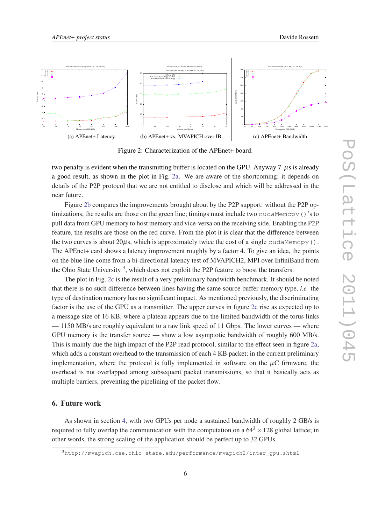<span id="page-5-0"></span>

Figure 2: Characterization of the APEnet+ board.

two penalty is evident when the transmitting buffer is located on the GPU. Anyway  $7 \mu s$  is already a good result, as shown in the plot in Fig. 2a. We are aware of the shortcoming; it depends on details of the P2P protocol that we are not entitled to disclose and which will be addressed in the near future.

Figure 2b compares the improvements brought about by the P2P support: without the P2P optimizations, the results are those on the green line; timings must include two cudaMemcpy()'s to pull data from GPU memory to host memory and vice-versa on the receiving side. Enabling the P2P feature, the results are those on the red curve. From the plot it is clear that the difference between the two curves is about  $20\mu s$ , which is approximately twice the cost of a single cudaMemcpy(). The APEnet+ card shows a latency improvement roughly by a factor 4. To give an idea, the points on the blue line come from a bi-directional latency test of MVAPICH2, MPI over InfiniBand from the Ohio State University<sup>3</sup>, which does not exploit the P2P feature to boost the transfers.

The plot in Fig. 2c is the result of a very preliminary bandwidth benchmark. It should be noted that there is no such difference between lines having the same source buffer memory type, *i.e.* the type of destination memory has no significant impact. As mentioned previously, the discriminating factor is the use of the GPU as a transmitter. The upper curves in figure 2c rise as expected up to a message size of 16 KB, where a plateau appears due to the limited bandwidth of the torus links — 1150 MB/s are roughly equivalent to a raw link speed of 11 Gbps. The lower curves — where GPU memory is the transfer source — show a low asymptotic bandwidth of roughly 600 MB/s. This is mainly due the high impact of the P2P read protocol, similar to the effect seen in figure 2a, which adds a constant overhead to the transmission of each 4 KB packet; in the current preliminary implementation, where the protocol is fully implemented in software on the  $\mu$ C firmware, the overhead is not overlapped among subsequent packet transmissions, so that it basically acts as multiple barriers, preventing the pipelining of the packet flow.

# 6. Future work

As shown in section [4](#page-3-0), with two GPUs per node a sustained bandwidth of roughly 2 GB/s is required to fully overlap the communication with the computation on a  $64^3 \times 128$  global lattice; in other words, the strong scaling of the application should be perfect up to 32 GPUs.

<sup>3</sup>http://mvapich.cse.ohio-state.edu/performance/mvapich2/inter\_gpu.shtml